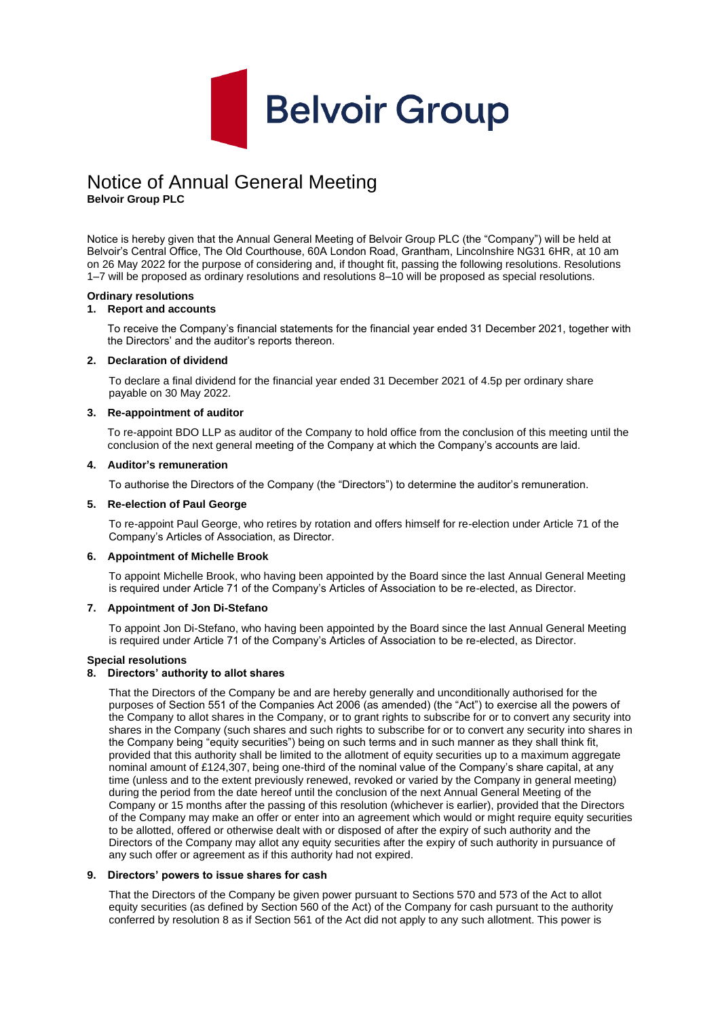

# Notice of Annual General Meeting

**Belvoir Group PLC**

Notice is hereby given that the Annual General Meeting of Belvoir Group PLC (the "Company") will be held at Belvoir's Central Office, The Old Courthouse, 60A London Road, Grantham, Lincolnshire NG31 6HR, at 10 am on 26 May 2022 for the purpose of considering and, if thought fit, passing the following resolutions. Resolutions 1–7 will be proposed as ordinary resolutions and resolutions 8–10 will be proposed as special resolutions.

#### **Ordinary resolutions**

### **1. Report and accounts**

To receive the Company's financial statements for the financial year ended 31 December 2021, together with the Directors' and the auditor's reports thereon.

#### **2. Declaration of dividend**

To declare a final dividend for the financial year ended 31 December 2021 of 4.5p per ordinary share payable on 30 May 2022.

#### **3. Re-appointment of auditor**

To re-appoint BDO LLP as auditor of the Company to hold office from the conclusion of this meeting until the conclusion of the next general meeting of the Company at which the Company's accounts are laid.

### **4. Auditor's remuneration**

To authorise the Directors of the Company (the "Directors") to determine the auditor's remuneration.

#### **5. Re-election of Paul George**

To re-appoint Paul George, who retires by rotation and offers himself for re-election under Article 71 of the Company's Articles of Association, as Director.

#### **6. Appointment of Michelle Brook**

To appoint Michelle Brook, who having been appointed by the Board since the last Annual General Meeting is required under Article 71 of the Company's Articles of Association to be re-elected, as Director.

#### **7. Appointment of Jon Di-Stefano**

To appoint Jon Di-Stefano, who having been appointed by the Board since the last Annual General Meeting is required under Article 71 of the Company's Articles of Association to be re-elected, as Director.

#### **Special resolutions**

## **8. Directors' authority to allot shares**

That the Directors of the Company be and are hereby generally and unconditionally authorised for the purposes of Section 551 of the Companies Act 2006 (as amended) (the "Act") to exercise all the powers of the Company to allot shares in the Company, or to grant rights to subscribe for or to convert any security into shares in the Company (such shares and such rights to subscribe for or to convert any security into shares in the Company being "equity securities") being on such terms and in such manner as they shall think fit, provided that this authority shall be limited to the allotment of equity securities up to a maximum aggregate nominal amount of £124,307, being one-third of the nominal value of the Company's share capital, at any time (unless and to the extent previously renewed, revoked or varied by the Company in general meeting) during the period from the date hereof until the conclusion of the next Annual General Meeting of the Company or 15 months after the passing of this resolution (whichever is earlier), provided that the Directors of the Company may make an offer or enter into an agreement which would or might require equity securities to be allotted, offered or otherwise dealt with or disposed of after the expiry of such authority and the Directors of the Company may allot any equity securities after the expiry of such authority in pursuance of any such offer or agreement as if this authority had not expired.

#### **9. Directors' powers to issue shares for cash**

That the Directors of the Company be given power pursuant to Sections 570 and 573 of the Act to allot equity securities (as defined by Section 560 of the Act) of the Company for cash pursuant to the authority conferred by resolution 8 as if Section 561 of the Act did not apply to any such allotment. This power is